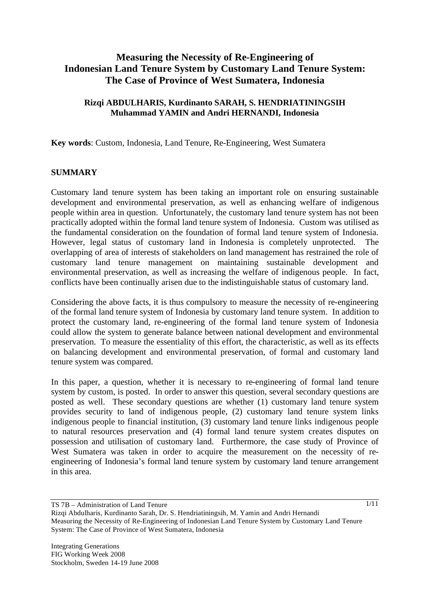# **Measuring the Necessity of Re-Engineering of Indonesian Land Tenure System by Customary Land Tenure System: The Case of Province of West Sumatera, Indonesia**

### **Rizqi ABDULHARIS, Kurdinanto SARAH, S. HENDRIATININGSIH Muhammad YAMIN and Andri HERNANDI, Indonesia**

**Key words**: Custom, Indonesia, Land Tenure, Re-Engineering, West Sumatera

### **SUMMARY**

Customary land tenure system has been taking an important role on ensuring sustainable development and environmental preservation, as well as enhancing welfare of indigenous people within area in question. Unfortunately, the customary land tenure system has not been practically adopted within the formal land tenure system of Indonesia. Custom was utilised as the fundamental consideration on the foundation of formal land tenure system of Indonesia. However, legal status of customary land in Indonesia is completely unprotected. The overlapping of area of interests of stakeholders on land management has restrained the role of customary land tenure management on maintaining sustainable development and environmental preservation, as well as increasing the welfare of indigenous people. In fact, conflicts have been continually arisen due to the indistinguishable status of customary land.

Considering the above facts, it is thus compulsory to measure the necessity of re-engineering of the formal land tenure system of Indonesia by customary land tenure system. In addition to protect the customary land, re-engineering of the formal land tenure system of Indonesia could allow the system to generate balance between national development and environmental preservation. To measure the essentiality of this effort, the characteristic, as well as its effects on balancing development and environmental preservation, of formal and customary land tenure system was compared.

In this paper, a question, whether it is necessary to re-engineering of formal land tenure system by custom, is posted. In order to answer this question, several secondary questions are posted as well. These secondary questions are whether (1) customary land tenure system provides security to land of indigenous people, (2) customary land tenure system links indigenous people to financial institution, (3) customary land tenure links indigenous people to natural resources preservation and (4) formal land tenure system creates disputes on possession and utilisation of customary land. Furthermore, the case study of Province of West Sumatera was taken in order to acquire the measurement on the necessity of reengineering of Indonesia's formal land tenure system by customary land tenure arrangement in this area.

TS 7B – Administration of Land Tenure

Rizqi Abdulharis, Kurdinanto Sarah, Dr. S. Hendriatiningsih, M. Yamin and Andri Hernandi Measuring the Necessity of Re-Engineering of Indonesian Land Tenure System by Customary Land Tenure System: The Case of Province of West Sumatera, Indonesia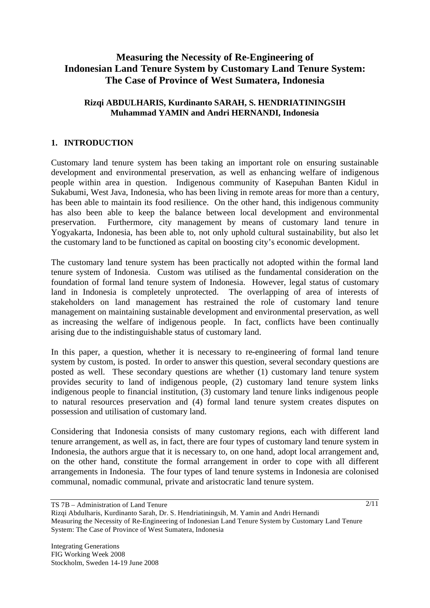# **Measuring the Necessity of Re-Engineering of Indonesian Land Tenure System by Customary Land Tenure System: The Case of Province of West Sumatera, Indonesia**

### **Rizqi ABDULHARIS, Kurdinanto SARAH, S. HENDRIATININGSIH Muhammad YAMIN and Andri HERNANDI, Indonesia**

### **1. INTRODUCTION**

Customary land tenure system has been taking an important role on ensuring sustainable development and environmental preservation, as well as enhancing welfare of indigenous people within area in question. Indigenous community of Kasepuhan Banten Kidul in Sukabumi, West Java, Indonesia, who has been living in remote areas for more than a century, has been able to maintain its food resilience. On the other hand, this indigenous community has also been able to keep the balance between local development and environmental preservation. Furthermore, city management by means of customary land tenure in Yogyakarta, Indonesia, has been able to, not only uphold cultural sustainability, but also let the customary land to be functioned as capital on boosting city's economic development.

The customary land tenure system has been practically not adopted within the formal land tenure system of Indonesia. Custom was utilised as the fundamental consideration on the foundation of formal land tenure system of Indonesia. However, legal status of customary land in Indonesia is completely unprotected. The overlapping of area of interests of stakeholders on land management has restrained the role of customary land tenure management on maintaining sustainable development and environmental preservation, as well as increasing the welfare of indigenous people. In fact, conflicts have been continually arising due to the indistinguishable status of customary land.

In this paper, a question, whether it is necessary to re-engineering of formal land tenure system by custom, is posted. In order to answer this question, several secondary questions are posted as well. These secondary questions are whether (1) customary land tenure system provides security to land of indigenous people, (2) customary land tenure system links indigenous people to financial institution, (3) customary land tenure links indigenous people to natural resources preservation and (4) formal land tenure system creates disputes on possession and utilisation of customary land.

Considering that Indonesia consists of many customary regions, each with different land tenure arrangement, as well as, in fact, there are four types of customary land tenure system in Indonesia, the authors argue that it is necessary to, on one hand, adopt local arrangement and, on the other hand, constitute the formal arrangement in order to cope with all different arrangements in Indonesia. The four types of land tenure systems in Indonesia are colonised communal, nomadic communal, private and aristocratic land tenure system.

TS 7B – Administration of Land Tenure

Rizqi Abdulharis, Kurdinanto Sarah, Dr. S. Hendriatiningsih, M. Yamin and Andri Hernandi Measuring the Necessity of Re-Engineering of Indonesian Land Tenure System by Customary Land Tenure System: The Case of Province of West Sumatera, Indonesia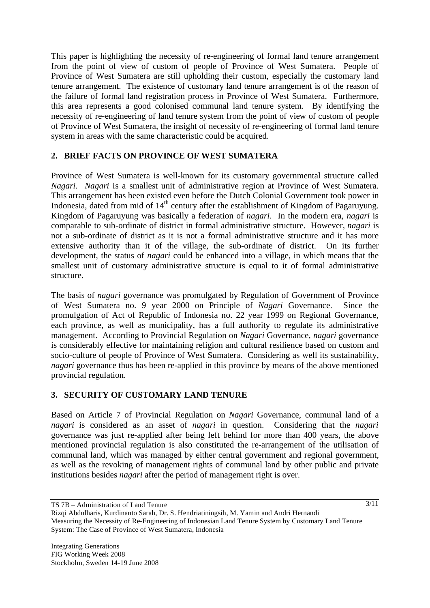This paper is highlighting the necessity of re-engineering of formal land tenure arrangement from the point of view of custom of people of Province of West Sumatera. People of Province of West Sumatera are still upholding their custom, especially the customary land tenure arrangement. The existence of customary land tenure arrangement is of the reason of the failure of formal land registration process in Province of West Sumatera. Furthermore, this area represents a good colonised communal land tenure system. By identifying the necessity of re-engineering of land tenure system from the point of view of custom of people of Province of West Sumatera, the insight of necessity of re-engineering of formal land tenure system in areas with the same characteristic could be acquired.

## **2. BRIEF FACTS ON PROVINCE OF WEST SUMATERA**

Province of West Sumatera is well-known for its customary governmental structure called *Nagari*. *Nagari* is a smallest unit of administrative region at Province of West Sumatera. This arrangement has been existed even before the Dutch Colonial Government took power in Indonesia, dated from mid of  $14<sup>th</sup>$  century after the establishment of Kingdom of Pagaruyung. Kingdom of Pagaruyung was basically a federation of *nagari*. In the modern era, *nagari* is comparable to sub-ordinate of district in formal administrative structure. However, *nagari* is not a sub-ordinate of district as it is not a formal administrative structure and it has more extensive authority than it of the village, the sub-ordinate of district. On its further development, the status of *nagari* could be enhanced into a village, in which means that the smallest unit of customary administrative structure is equal to it of formal administrative structure.

The basis of *nagari* governance was promulgated by Regulation of Government of Province of West Sumatera no. 9 year 2000 on Principle of *Nagari* Governance. Since the promulgation of Act of Republic of Indonesia no. 22 year 1999 on Regional Governance, each province, as well as municipality, has a full authority to regulate its administrative management. According to Provincial Regulation on *Nagari* Governance, *nagari* governance is considerably effective for maintaining religion and cultural resilience based on custom and socio-culture of people of Province of West Sumatera. Considering as well its sustainability, *nagari* governance thus has been re-applied in this province by means of the above mentioned provincial regulation.

### **3. SECURITY OF CUSTOMARY LAND TENURE**

Based on Article 7 of Provincial Regulation on *Nagari* Governance, communal land of a *nagari* is considered as an asset of *nagari* in question. Considering that the *nagari*  governance was just re-applied after being left behind for more than 400 years, the above mentioned provincial regulation is also constituted the re-arrangement of the utilisation of communal land, which was managed by either central government and regional government, as well as the revoking of management rights of communal land by other public and private institutions besides *nagari* after the period of management right is over.

TS 7B – Administration of Land Tenure

Rizqi Abdulharis, Kurdinanto Sarah, Dr. S. Hendriatiningsih, M. Yamin and Andri Hernandi Measuring the Necessity of Re-Engineering of Indonesian Land Tenure System by Customary Land Tenure System: The Case of Province of West Sumatera, Indonesia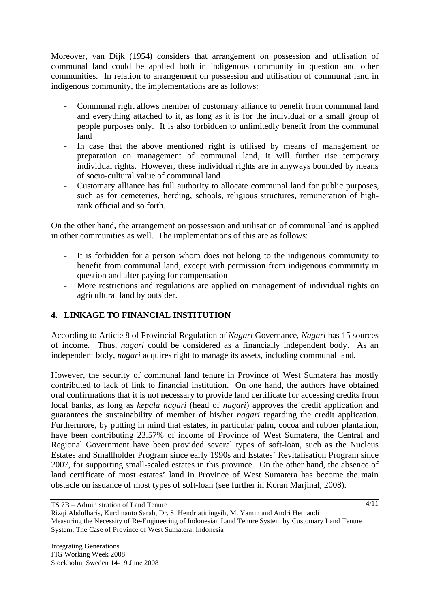Moreover, van Dijk (1954) considers that arrangement on possession and utilisation of communal land could be applied both in indigenous community in question and other communities. In relation to arrangement on possession and utilisation of communal land in indigenous community, the implementations are as follows:

- Communal right allows member of customary alliance to benefit from communal land and everything attached to it, as long as it is for the individual or a small group of people purposes only. It is also forbidden to unlimitedly benefit from the communal land
- In case that the above mentioned right is utilised by means of management or preparation on management of communal land, it will further rise temporary individual rights. However, these individual rights are in anyways bounded by means of socio-cultural value of communal land
- Customary alliance has full authority to allocate communal land for public purposes, such as for cemeteries, herding, schools, religious structures, remuneration of highrank official and so forth.

On the other hand, the arrangement on possession and utilisation of communal land is applied in other communities as well. The implementations of this are as follows:

- It is forbidden for a person whom does not belong to the indigenous community to benefit from communal land, except with permission from indigenous community in question and after paying for compensation
- More restrictions and regulations are applied on management of individual rights on agricultural land by outsider.

## **4. LINKAGE TO FINANCIAL INSTITUTION**

According to Article 8 of Provincial Regulation of *Nagari* Governance, *Nagari* has 15 sources of income. Thus, *nagari* could be considered as a financially independent body. As an independent body, *nagari* acquires right to manage its assets, including communal land.

However, the security of communal land tenure in Province of West Sumatera has mostly contributed to lack of link to financial institution. On one hand, the authors have obtained oral confirmations that it is not necessary to provide land certificate for accessing credits from local banks, as long as *kepala nagari* (head of *nagari*) approves the credit application and guarantees the sustainability of member of his/her *nagari* regarding the credit application. Furthermore, by putting in mind that estates, in particular palm, cocoa and rubber plantation, have been contributing 23.57% of income of Province of West Sumatera, the Central and Regional Government have been provided several types of soft-loan, such as the Nucleus Estates and Smallholder Program since early 1990s and Estates' Revitalisation Program since 2007, for supporting small-scaled estates in this province. On the other hand, the absence of land certificate of most estates' land in Province of West Sumatera has become the main obstacle on issuance of most types of soft-loan (see further in Koran Marjinal, 2008).

TS 7B – Administration of Land Tenure

Rizqi Abdulharis, Kurdinanto Sarah, Dr. S. Hendriatiningsih, M. Yamin and Andri Hernandi Measuring the Necessity of Re-Engineering of Indonesian Land Tenure System by Customary Land Tenure System: The Case of Province of West Sumatera, Indonesia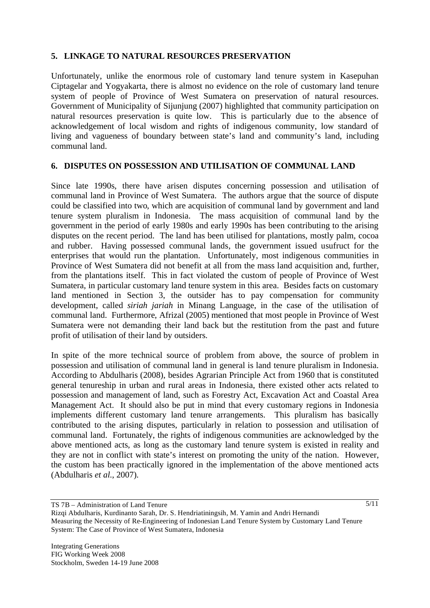### **5. LINKAGE TO NATURAL RESOURCES PRESERVATION**

Unfortunately, unlike the enormous role of customary land tenure system in Kasepuhan Ciptagelar and Yogyakarta, there is almost no evidence on the role of customary land tenure system of people of Province of West Sumatera on preservation of natural resources. Government of Municipality of Sijunjung (2007) highlighted that community participation on natural resources preservation is quite low. This is particularly due to the absence of acknowledgement of local wisdom and rights of indigenous community, low standard of living and vagueness of boundary between state's land and community's land, including communal land.

### **6. DISPUTES ON POSSESSION AND UTILISATION OF COMMUNAL LAND**

Since late 1990s, there have arisen disputes concerning possession and utilisation of communal land in Province of West Sumatera. The authors argue that the source of dispute could be classified into two, which are acquisition of communal land by government and land tenure system pluralism in Indonesia. The mass acquisition of communal land by the government in the period of early 1980s and early 1990s has been contributing to the arising disputes on the recent period. The land has been utilised for plantations, mostly palm, cocoa and rubber. Having possessed communal lands, the government issued usufruct for the enterprises that would run the plantation. Unfortunately, most indigenous communities in Province of West Sumatera did not benefit at all from the mass land acquisition and, further, from the plantations itself. This in fact violated the custom of people of Province of West Sumatera, in particular customary land tenure system in this area. Besides facts on customary land mentioned in Section 3, the outsider has to pay compensation for community development, called *siriah jariah* in Minang Language, in the case of the utilisation of communal land. Furthermore, Afrizal (2005) mentioned that most people in Province of West Sumatera were not demanding their land back but the restitution from the past and future profit of utilisation of their land by outsiders.

In spite of the more technical source of problem from above, the source of problem in possession and utilisation of communal land in general is land tenure pluralism in Indonesia. According to Abdulharis (2008), besides Agrarian Principle Act from 1960 that is constituted general tenureship in urban and rural areas in Indonesia, there existed other acts related to possession and management of land, such as Forestry Act, Excavation Act and Coastal Area Management Act. It should also be put in mind that every customary regions in Indonesia implements different customary land tenure arrangements. This pluralism has basically contributed to the arising disputes, particularly in relation to possession and utilisation of communal land. Fortunately, the rights of indigenous communities are acknowledged by the above mentioned acts, as long as the customary land tenure system is existed in reality and they are not in conflict with state's interest on promoting the unity of the nation. However, the custom has been practically ignored in the implementation of the above mentioned acts (Abdulharis *et al*., 2007).

TS 7B – Administration of Land Tenure

 $5/11$ 

Rizqi Abdulharis, Kurdinanto Sarah, Dr. S. Hendriatiningsih, M. Yamin and Andri Hernandi Measuring the Necessity of Re-Engineering of Indonesian Land Tenure System by Customary Land Tenure System: The Case of Province of West Sumatera, Indonesia

Integrating Generations FIG Working Week 2008 Stockholm, Sweden 14-19 June 2008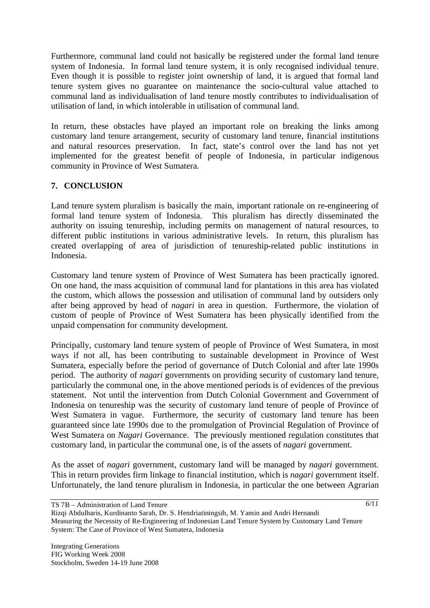Furthermore, communal land could not basically be registered under the formal land tenure system of Indonesia. In formal land tenure system, it is only recognised individual tenure. Even though it is possible to register joint ownership of land, it is argued that formal land tenure system gives no guarantee on maintenance the socio-cultural value attached to communal land as individualisation of land tenure mostly contributes to individualisation of utilisation of land, in which intolerable in utilisation of communal land.

In return, these obstacles have played an important role on breaking the links among customary land tenure arrangement, security of customary land tenure, financial institutions and natural resources preservation. In fact, state's control over the land has not yet implemented for the greatest benefit of people of Indonesia, in particular indigenous community in Province of West Sumatera.

## **7. CONCLUSION**

Land tenure system pluralism is basically the main, important rationale on re-engineering of formal land tenure system of Indonesia. This pluralism has directly disseminated the authority on issuing tenureship, including permits on management of natural resources, to different public institutions in various administrative levels. In return, this pluralism has created overlapping of area of jurisdiction of tenureship-related public institutions in Indonesia.

Customary land tenure system of Province of West Sumatera has been practically ignored. On one hand, the mass acquisition of communal land for plantations in this area has violated the custom, which allows the possession and utilisation of communal land by outsiders only after being approved by head of *nagari* in area in question. Furthermore, the violation of custom of people of Province of West Sumatera has been physically identified from the unpaid compensation for community development.

Principally, customary land tenure system of people of Province of West Sumatera, in most ways if not all, has been contributing to sustainable development in Province of West Sumatera, especially before the period of governance of Dutch Colonial and after late 1990s period. The authority of *nagari* governments on providing security of customary land tenure, particularly the communal one, in the above mentioned periods is of evidences of the previous statement. Not until the intervention from Dutch Colonial Government and Government of Indonesia on tenureship was the security of customary land tenure of people of Province of West Sumatera in vague. Furthermore, the security of customary land tenure has been guaranteed since late 1990s due to the promulgation of Provincial Regulation of Province of West Sumatera on *Nagari* Governance. The previously mentioned regulation constitutes that customary land, in particular the communal one, is of the assets of *nagari* government.

As the asset of *nagari* government, customary land will be managed by *nagari* government. This in return provides firm linkage to financial institution, which is *nagari* government itself. Unfortunately, the land tenure pluralism in Indonesia, in particular the one between Agrarian

TS 7B – Administration of Land Tenure

Rizqi Abdulharis, Kurdinanto Sarah, Dr. S. Hendriatiningsih, M. Yamin and Andri Hernandi Measuring the Necessity of Re-Engineering of Indonesian Land Tenure System by Customary Land Tenure System: The Case of Province of West Sumatera, Indonesia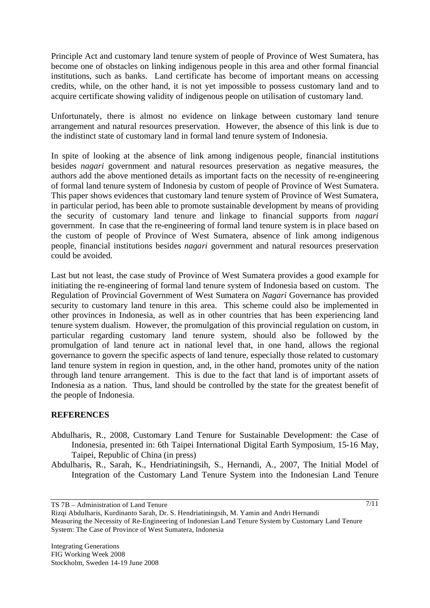Principle Act and customary land tenure system of people of Province of West Sumatera, has become one of obstacles on linking indigenous people in this area and other formal financial institutions, such as banks. Land certificate has become of important means on accessing credits, while, on the other hand, it is not yet impossible to possess customary land and to acquire certificate showing validity of indigenous people on utilisation of customary land.

Unfortunately, there is almost no evidence on linkage between customary land tenure arrangement and natural resources preservation. However, the absence of this link is due to the indistinct state of customary land in formal land tenure system of Indonesia.

In spite of looking at the absence of link among indigenous people, financial institutions besides *nagari* government and natural resources preservation as negative measures, the authors add the above mentioned details as important facts on the necessity of re-engineering of formal land tenure system of Indonesia by custom of people of Province of West Sumatera. This paper shows evidences that customary land tenure system of Province of West Sumatera, in particular period, has been able to promote sustainable development by means of providing the security of customary land tenure and linkage to financial supports from *nagari*  government. In case that the re-engineering of formal land tenure system is in place based on the custom of people of Province of West Sumatera, absence of link among indigenous people, financial institutions besides *nagari* government and natural resources preservation could be avoided.

Last but not least, the case study of Province of West Sumatera provides a good example for initiating the re-engineering of formal land tenure system of Indonesia based on custom. The Regulation of Provincial Government of West Sumatera on *Nagari* Governance has provided security to customary land tenure in this area. This scheme could also be implemented in other provinces in Indonesia, as well as in other countries that has been experiencing land tenure system dualism. However, the promulgation of this provincial regulation on custom, in particular regarding customary land tenure system, should also be followed by the promulgation of land tenure act in national level that, in one hand, allows the regional governance to govern the specific aspects of land tenure, especially those related to customary land tenure system in region in question, and, in the other hand, promotes unity of the nation through land tenure arrangement. This is due to the fact that land is of important assets of Indonesia as a nation. Thus, land should be controlled by the state for the greatest benefit of the people of Indonesia.

### **REFERENCES**

- Abdulharis, R., 2008, Customary Land Tenure for Sustainable Development: the Case of Indonesia, presented in: 6th Taipei International Digital Earth Symposium, 15-16 May, Taipei, Republic of China (in press)
- Abdulharis, R., Sarah, K., Hendriatiningsih, S., Hernandi, A., 2007, The Initial Model of Integration of the Customary Land Tenure System into the Indonesian Land Tenure

TS 7B – Administration of Land Tenure

Rizqi Abdulharis, Kurdinanto Sarah, Dr. S. Hendriatiningsih, M. Yamin and Andri Hernandi Measuring the Necessity of Re-Engineering of Indonesian Land Tenure System by Customary Land Tenure System: The Case of Province of West Sumatera, Indonesia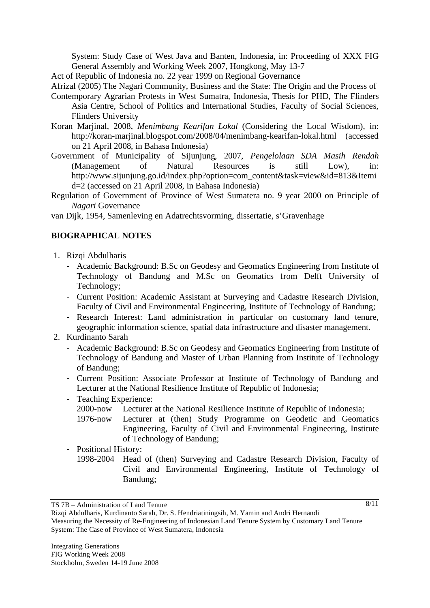System: Study Case of West Java and Banten, Indonesia, in: Proceeding of XXX FIG General Assembly and Working Week 2007, Hongkong, May 13-7

Act of Republic of Indonesia no. 22 year 1999 on Regional Governance

Afrizal (2005) The Nagari Community, Business and the State: The Origin and the Process of

- Contemporary Agrarian Protests in West Sumatra, Indonesia, Thesis for PHD, The Flinders Asia Centre, School of Politics and International Studies, Faculty of Social Sciences, Flinders University
- Koran Marjinal, 2008, *Menimbang Kearifan Lokal* (Considering the Local Wisdom), in: http://koran-marjinal.blogspot.com/2008/04/menimbang-kearifan-lokal.html (accessed on 21 April 2008, in Bahasa Indonesia)
- Government of Municipality of Sijunjung, 2007, *Pengelolaan SDA Masih Rendah*  (Management of Natural Resources is still Low), in: http://www.sijunjung.go.id/index.php?option=com\_content&task=view&id=813&Itemi d=2 (accessed on 21 April 2008, in Bahasa Indonesia)
- Regulation of Government of Province of West Sumatera no. 9 year 2000 on Principle of *Nagari* Governance

van Dijk, 1954, Samenleving en Adatrechtsvorming, dissertatie, s'Gravenhage

### **BIOGRAPHICAL NOTES**

- 1. Rizqi Abdulharis
	- Academic Background: B.Sc on Geodesy and Geomatics Engineering from Institute of Technology of Bandung and M.Sc on Geomatics from Delft University of Technology;
	- Current Position: Academic Assistant at Surveying and Cadastre Research Division, Faculty of Civil and Environmental Engineering, Institute of Technology of Bandung;
	- Research Interest: Land administration in particular on customary land tenure, geographic information science, spatial data infrastructure and disaster management.
- 2. Kurdinanto Sarah
	- Academic Background: B.Sc on Geodesy and Geomatics Engineering from Institute of Technology of Bandung and Master of Urban Planning from Institute of Technology of Bandung;
	- Current Position: Associate Professor at Institute of Technology of Bandung and Lecturer at the National Resilience Institute of Republic of Indonesia;
	- Teaching Experience:
		- 2000-now Lecturer at the National Resilience Institute of Republic of Indonesia;
		- 1976-now Lecturer at (then) Study Programme on Geodetic and Geomatics Engineering, Faculty of Civil and Environmental Engineering, Institute of Technology of Bandung;

### - Positional History:

1998-2004 Head of (then) Surveying and Cadastre Research Division, Faculty of Civil and Environmental Engineering, Institute of Technology of Bandung;

TS 7B – Administration of Land Tenure

Rizqi Abdulharis, Kurdinanto Sarah, Dr. S. Hendriatiningsih, M. Yamin and Andri Hernandi Measuring the Necessity of Re-Engineering of Indonesian Land Tenure System by Customary Land Tenure System: The Case of Province of West Sumatera, Indonesia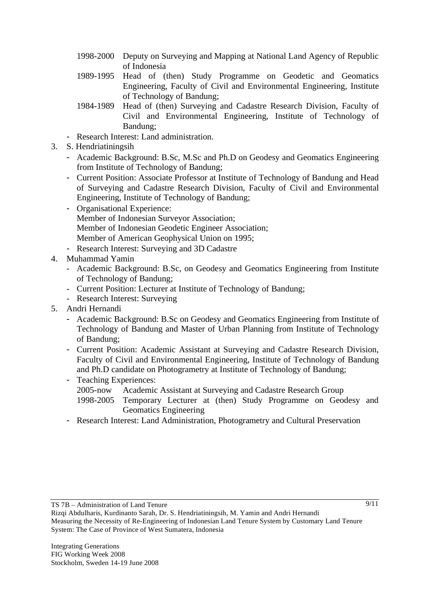- 1998-2000 Deputy on Surveying and Mapping at National Land Agency of Republic of Indonesia
- 1989-1995 Head of (then) Study Programme on Geodetic and Geomatics Engineering, Faculty of Civil and Environmental Engineering, Institute of Technology of Bandung;
- 1984-1989 Head of (then) Surveying and Cadastre Research Division, Faculty of Civil and Environmental Engineering, Institute of Technology of Bandung;
- Research Interest: Land administration.
- 3. S. Hendriatiningsih
	- Academic Background: B.Sc, M.Sc and Ph.D on Geodesy and Geomatics Engineering from Institute of Technology of Bandung;
	- Current Position: Associate Professor at Institute of Technology of Bandung and Head of Surveying and Cadastre Research Division, Faculty of Civil and Environmental Engineering, Institute of Technology of Bandung;
	- Organisational Experience: Member of Indonesian Surveyor Association; Member of Indonesian Geodetic Engineer Association; Member of American Geophysical Union on 1995;
	- Research Interest: Surveying and 3D Cadastre
- 4. Muhammad Yamin
	- Academic Background: B.Sc, on Geodesy and Geomatics Engineering from Institute of Technology of Bandung;
	- Current Position: Lecturer at Institute of Technology of Bandung;
	- Research Interest: Surveying
- 5. Andri Hernandi
	- Academic Background: B.Sc on Geodesy and Geomatics Engineering from Institute of Technology of Bandung and Master of Urban Planning from Institute of Technology of Bandung;
	- Current Position: Academic Assistant at Surveying and Cadastre Research Division, Faculty of Civil and Environmental Engineering, Institute of Technology of Bandung and Ph.D candidate on Photogrametry at Institute of Technology of Bandung;
	- Teaching Experiences:
		- 2005-now Academic Assistant at Surveying and Cadastre Research Group
		- 1998-2005 Temporary Lecturer at (then) Study Programme on Geodesy and Geomatics Engineering
	- Research Interest: Land Administration, Photogrametry and Cultural Preservation

Rizqi Abdulharis, Kurdinanto Sarah, Dr. S. Hendriatiningsih, M. Yamin and Andri Hernandi Measuring the Necessity of Re-Engineering of Indonesian Land Tenure System by Customary Land Tenure System: The Case of Province of West Sumatera, Indonesia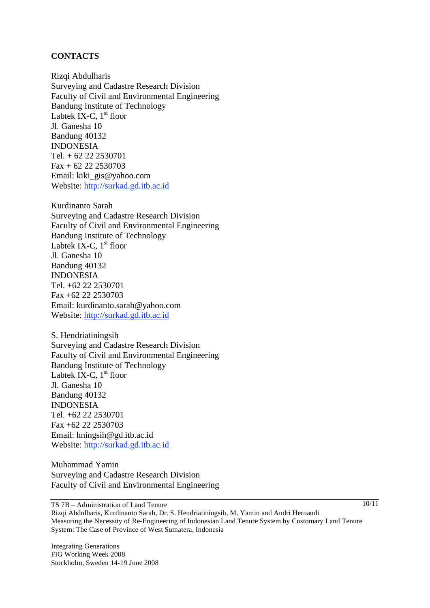### **CONTACTS**

Rizqi Abdulharis Surveying and Cadastre Research Division Faculty of Civil and Environmental Engineering Bandung Institute of Technology Labtek IX-C,  $1<sup>st</sup>$  floor Jl. Ganesha 10 Bandung 40132 INDONESIA Tel. + 62 22 2530701 Fax + 62 22 2530703 Email: kiki\_gis@yahoo.com Website: http://surkad.gd.itb.ac.id

Kurdinanto Sarah Surveying and Cadastre Research Division Faculty of Civil and Environmental Engineering Bandung Institute of Technology Labtek IX-C,  $1<sup>st</sup>$  floor Jl. Ganesha 10 Bandung 40132 INDONESIA Tel. +62 22 2530701 Fax +62 22 2530703 Email: kurdinanto.sarah@yahoo.com Website: http://surkad.gd.itb.ac.id

S. Hendriatiningsih Surveying and Cadastre Research Division Faculty of Civil and Environmental Engineering Bandung Institute of Technology Labtek IX-C,  $1<sup>st</sup>$  floor Jl. Ganesha 10 Bandung 40132 INDONESIA Tel. +62 22 2530701 Fax +62 22 2530703 Email: hningsih@gd.itb.ac.id Website: http://surkad.gd.itb.ac.id

Muhammad Yamin Surveying and Cadastre Research Division Faculty of Civil and Environmental Engineering

TS 7B – Administration of Land Tenure Rizqi Abdulharis, Kurdinanto Sarah, Dr. S. Hendriatiningsih, M. Yamin and Andri Hernandi Measuring the Necessity of Re-Engineering of Indonesian Land Tenure System by Customary Land Tenure System: The Case of Province of West Sumatera, Indonesia

Integrating Generations FIG Working Week 2008 Stockholm, Sweden 14-19 June 2008